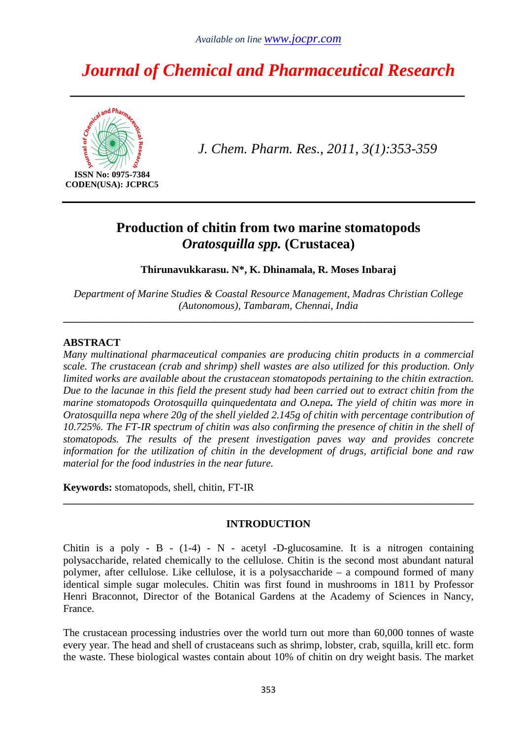# *Journal of Chemical and Pharmaceutical Research*

*\_\_\_\_\_\_\_\_\_\_\_\_\_\_\_\_\_\_\_\_\_\_\_\_\_\_\_\_\_\_\_\_\_\_\_\_\_\_\_\_\_\_\_\_\_\_\_\_\_\_* 



**CODEN(USA): JCPRC5** 

*J. Chem. Pharm. Res., 2011, 3(1):353-359*

# **Production of chitin from two marine stomatopods**  *Oratosquilla spp.* **(Crustacea)**

**Thirunavukkarasu. N\*, K. Dhinamala, R. Moses Inbaraj** 

*Department of Marine Studies & Coastal Resource Management, Madras Christian College (Autonomous), Tambaram, Chennai, India* 

**\_\_\_\_\_\_\_\_\_\_\_\_\_\_\_\_\_\_\_\_\_\_\_\_\_\_\_\_\_\_\_\_\_\_\_\_\_\_\_\_\_\_\_\_\_\_\_\_\_\_\_\_\_\_\_\_\_\_\_\_\_\_\_\_\_\_\_\_\_\_\_\_\_\_\_\_\_\_** 

# **ABSTRACT**

*Many multinational pharmaceutical companies are producing chitin products in a commercial scale. The crustacean (crab and shrimp) shell wastes are also utilized for this production. Only limited works are available about the crustacean stomatopods pertaining to the chitin extraction. Due to the lacunae in this field the present study had been carried out to extract chitin from the marine stomatopods Orotosquilla quinquedentata and O.nepa. The yield of chitin was more in Oratosquilla nepa where 20g of the shell yielded 2.145g of chitin with percentage contribution of 10.725%. The FT-IR spectrum of chitin was also confirming the presence of chitin in the shell of stomatopods. The results of the present investigation paves way and provides concrete information for the utilization of chitin in the development of drugs, artificial bone and raw material for the food industries in the near future.* 

**Keywords:** stomatopods, shell, chitin, FT-IR

# **INTRODUCTION**

**\_\_\_\_\_\_\_\_\_\_\_\_\_\_\_\_\_\_\_\_\_\_\_\_\_\_\_\_\_\_\_\_\_\_\_\_\_\_\_\_\_\_\_\_\_\_\_\_\_\_\_\_\_\_\_\_\_\_\_\_\_\_\_\_\_\_\_\_\_\_\_\_\_\_\_\_\_\_** 

Chitin is a poly - B -  $(1-4)$  - N - acetyl -D-glucosamine. It is a nitrogen containing polysaccharide, related chemically to the cellulose. Chitin is the second most abundant natural polymer, after cellulose. Like cellulose, it is a polysaccharide – a compound formed of many identical simple sugar molecules. Chitin was first found in mushrooms in 1811 by Professor Henri Braconnot, Director of the Botanical Gardens at the Academy of Sciences in Nancy, France.

The crustacean processing industries over the world turn out more than 60,000 tonnes of waste every year. The head and shell of crustaceans such as shrimp, lobster, crab, squilla, krill etc. form the waste. These biological wastes contain about 10% of chitin on dry weight basis. The market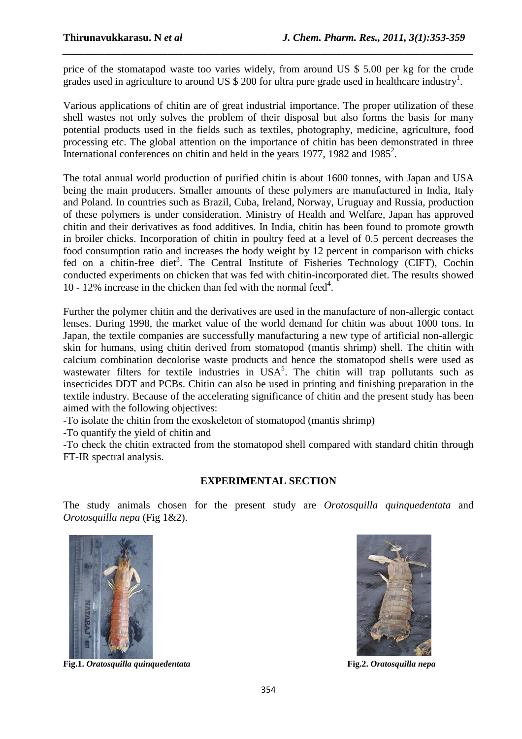price of the stomatapod waste too varies widely, from around US \$ 5.00 per kg for the crude grades used in agriculture to around US  $$200$  for ultra pure grade used in healthcare industry<sup>1</sup>.

*\_\_\_\_\_\_\_\_\_\_\_\_\_\_\_\_\_\_\_\_\_\_\_\_\_\_\_\_\_\_\_\_\_\_\_\_\_\_\_\_\_\_\_\_\_\_\_\_\_\_\_\_\_\_\_\_\_\_\_\_\_\_\_\_\_\_\_\_\_\_\_\_\_\_\_\_\_\_*

Various applications of chitin are of great industrial importance. The proper utilization of these shell wastes not only solves the problem of their disposal but also forms the basis for many potential products used in the fields such as textiles, photography, medicine, agriculture, food processing etc. The global attention on the importance of chitin has been demonstrated in three International conferences on chitin and held in the years 1977, 1982 and 1985<sup>2</sup>.

The total annual world production of purified chitin is about 1600 tonnes, with Japan and USA being the main producers. Smaller amounts of these polymers are manufactured in India, Italy and Poland. In countries such as Brazil, Cuba, Ireland, Norway, Uruguay and Russia, production of these polymers is under consideration. Ministry of Health and Welfare, Japan has approved chitin and their derivatives as food additives. In India, chitin has been found to promote growth in broiler chicks. Incorporation of chitin in poultry feed at a level of 0.5 percent decreases the food consumption ratio and increases the body weight by 12 percent in comparison with chicks fed on a chitin-free diet<sup>3</sup>. The Central Institute of Fisheries Technology (CIFT), Cochin conducted experiments on chicken that was fed with chitin-incorporated diet. The results showed 10 - 12% increase in the chicken than fed with the normal feed<sup>4</sup>.

Further the polymer chitin and the derivatives are used in the manufacture of non-allergic contact lenses. During 1998, the market value of the world demand for chitin was about 1000 tons. In Japan, the textile companies are successfully manufacturing a new type of artificial non-allergic skin for humans, using chitin derived from stomatopod (mantis shrimp) shell. The chitin with calcium combination decolorise waste products and hence the stomatopod shells were used as wastewater filters for textile industries in  $USA^5$ . The chitin will trap pollutants such as insecticides DDT and PCBs. Chitin can also be used in printing and finishing preparation in the textile industry. Because of the accelerating significance of chitin and the present study has been aimed with the following objectives:

-To isolate the chitin from the exoskeleton of stomatopod (mantis shrimp)

-To quantify the yield of chitin and

-To check the chitin extracted from the stomatopod shell compared with standard chitin through FT-IR spectral analysis.

# **EXPERIMENTAL SECTION**

The study animals chosen for the present study are *Orotosquilla quinquedentata* and *Orotosquilla nepa* (Fig 1&2).



**Fig.1.** *Oratosquilla quinquedentata* **Fig.2.** *Oratosquilla nepa*

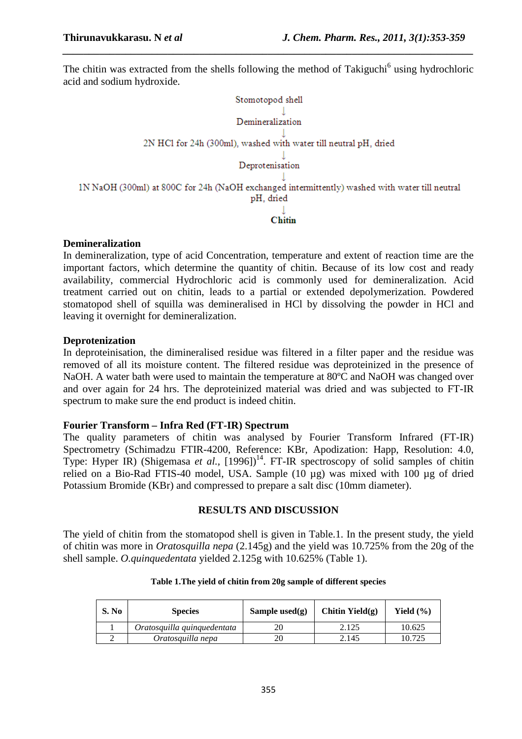The chitin was extracted from the shells following the method of Takiguchi<sup>6</sup> using hydrochloric acid and sodium hydroxide.

*\_\_\_\_\_\_\_\_\_\_\_\_\_\_\_\_\_\_\_\_\_\_\_\_\_\_\_\_\_\_\_\_\_\_\_\_\_\_\_\_\_\_\_\_\_\_\_\_\_\_\_\_\_\_\_\_\_\_\_\_\_\_\_\_\_\_\_\_\_\_\_\_\_\_\_\_\_\_*



#### **Demineralization**

In demineralization, type of acid Concentration, temperature and extent of reaction time are the important factors, which determine the quantity of chitin. Because of its low cost and ready availability, commercial Hydrochloric acid is commonly used for demineralization. Acid treatment carried out on chitin, leads to a partial or extended depolymerization. Powdered stomatopod shell of squilla was demineralised in HCl by dissolving the powder in HCl and leaving it overnight for demineralization.

#### **Deprotenization**

In deproteinisation, the dimineralised residue was filtered in a filter paper and the residue was removed of all its moisture content. The filtered residue was deproteinized in the presence of NaOH. A water bath were used to maintain the temperature at 80<sup>o</sup>C and NaOH was changed over and over again for 24 hrs. The deproteinized material was dried and was subjected to FT-IR spectrum to make sure the end product is indeed chitin.

#### **Fourier Transform – Infra Red (FT-IR) Spectrum**

The quality parameters of chitin was analysed by Fourier Transform Infrared (FT-IR) Spectrometry (Schimadzu FTIR-4200, Reference: KBr, Apodization: Happ, Resolution: 4.0, Type: Hyper IR) (Shigemasa *et al.*, [1996])<sup>14</sup>. FT-IR spectroscopy of solid samples of chitin relied on a Bio-Rad FTIS-40 model, USA. Sample (10 µg) was mixed with 100 µg of dried Potassium Bromide (KBr) and compressed to prepare a salt disc (10mm diameter).

# **RESULTS AND DISCUSSION**

The yield of chitin from the stomatopod shell is given in Table.1. In the present study, the yield of chitin was more in *Oratosquilla nepa* (2.145g) and the yield was 10.725% from the 20g of the shell sample. *O.quinquedentata* yielded 2.125g with 10.625% (Table 1).

| S. No | <b>Species</b>              | Sample used $(g)$ | Chitin Yield $(g)$ | Yield $(\% )$ |
|-------|-----------------------------|-------------------|--------------------|---------------|
|       | Oratosquilla quinquedentata |                   | 2.125              | 10.625        |
|       | Oratosquilla nepa           |                   | 2.145              | 10.725        |

#### **Table 1.The yield of chitin from 20g sample of different species**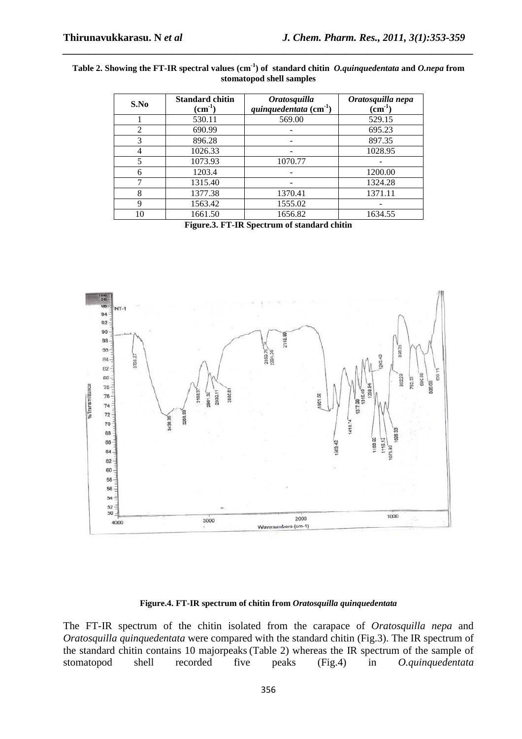| Table 2. Showing the FT-IR spectral values (cm <sup>-1</sup> ) of standard chitin <i>O.quinquedentata</i> and <i>O.nepa</i> from |  |  |  |  |  |  |
|----------------------------------------------------------------------------------------------------------------------------------|--|--|--|--|--|--|
| stomatopod shell samples                                                                                                         |  |  |  |  |  |  |

*\_\_\_\_\_\_\_\_\_\_\_\_\_\_\_\_\_\_\_\_\_\_\_\_\_\_\_\_\_\_\_\_\_\_\_\_\_\_\_\_\_\_\_\_\_\_\_\_\_\_\_\_\_\_\_\_\_\_\_\_\_\_\_\_\_\_\_\_\_\_\_\_\_\_\_\_\_\_*

| S.No     | <b>Standard chitin</b><br>$\text{(cm}^{-1})$ | <b>Oratosquilla</b><br>quinquedentata $\text{cm}^{-1}$ ) | Oratosquilla nepa<br>$\rm \left( cm^{-1} \right)$ |
|----------|----------------------------------------------|----------------------------------------------------------|---------------------------------------------------|
|          | 530.11                                       | 569.00                                                   | 529.15                                            |
| 2        | 690.99                                       |                                                          | 695.23                                            |
| 3        | 896.28                                       |                                                          | 897.35                                            |
|          | 1026.33                                      |                                                          | 1028.95                                           |
| 5        | 1073.93                                      | 1070.77                                                  |                                                   |
| 6        | 1203.4                                       |                                                          | 1200.00                                           |
|          | 1315.40                                      |                                                          | 1324.28                                           |
| 8        | 1377.38                                      | 1370.41                                                  | 1371.11                                           |
| 9        | 1563.42                                      | 1555.02                                                  |                                                   |
| $\theta$ | 1661.50                                      | 1656.82                                                  | 1634.55                                           |

**Figure.3. FT-IR Spectrum of standard chitin**



#### **Figure.4. FT-IR spectrum of chitin from** *Oratosquilla quinquedentata*

The FT-IR spectrum of the chitin isolated from the carapace of *Oratosquilla nepa* and *Oratosquilla quinquedentata* were compared with the standard chitin (Fig.3). The IR spectrum of the standard chitin contains 10 majorpeaks (Table 2) whereas the IR spectrum of the sample of stomatopod shell recorded five peaks (Fig.4) in *O.quinquedentata* shell recorded five peaks (Fig.4) in *O.quinquedentata*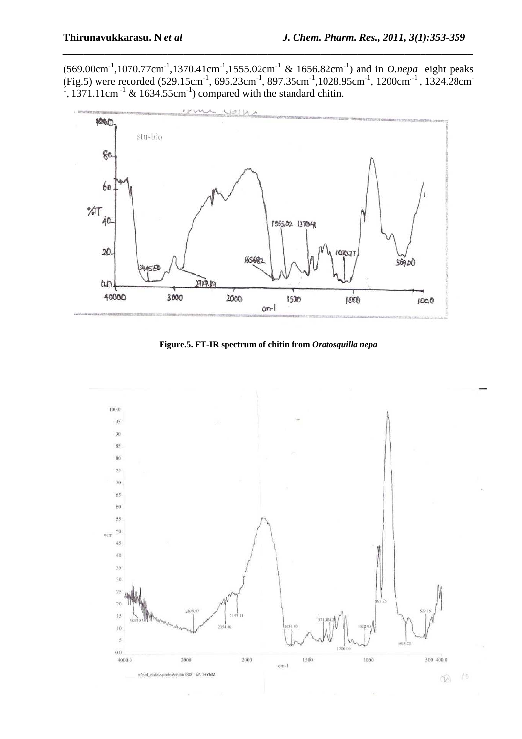$(569.00 \text{cm}^{-1}, 1070.77 \text{cm}^{-1}, 1370.41 \text{cm}^{-1}, 1555.02 \text{cm}^{-1} \& 1656.82 \text{cm}^{-1})$  and in *O.nepa* eight peaks (Fig.5) were recorded (529.15cm<sup>-1</sup>, 695.23cm<sup>-1</sup>, 897.35cm<sup>-1</sup>, 1028.95cm<sup>-1</sup>, 1200cm<sup>-1</sup>, 1324.28cm<sup>-1</sup>, 1371.11cm<sup>-1</sup> & 1634.55cm<sup>-1</sup>) compared with the standard chitin.

*\_\_\_\_\_\_\_\_\_\_\_\_\_\_\_\_\_\_\_\_\_\_\_\_\_\_\_\_\_\_\_\_\_\_\_\_\_\_\_\_\_\_\_\_\_\_\_\_\_\_\_\_\_\_\_\_\_\_\_\_\_\_\_\_\_\_\_\_\_\_\_\_\_\_\_\_\_\_*



**Figure.5. FT-IR spectrum of chitin from** *Oratosquilla nepa*

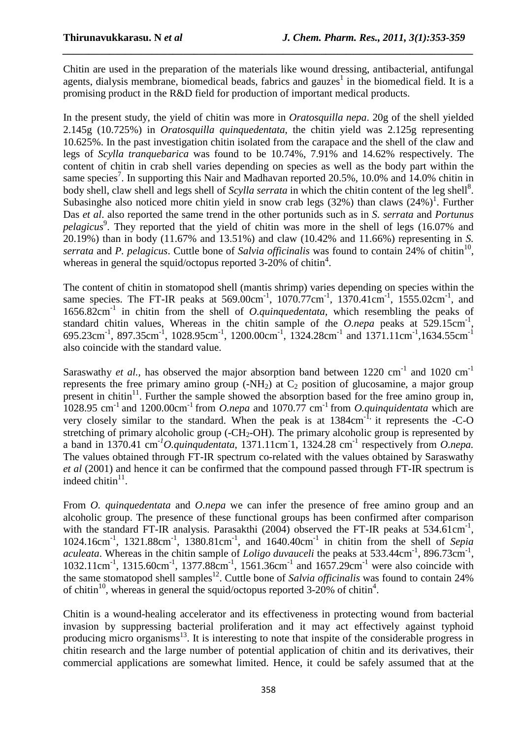Chitin are used in the preparation of the materials like wound dressing, antibacterial, antifungal agents, dialysis membrane, biomedical beads, fabrics and gauzes<sup>1</sup> in the biomedical field. It is a promising product in the R&D field for production of important medical products.

*\_\_\_\_\_\_\_\_\_\_\_\_\_\_\_\_\_\_\_\_\_\_\_\_\_\_\_\_\_\_\_\_\_\_\_\_\_\_\_\_\_\_\_\_\_\_\_\_\_\_\_\_\_\_\_\_\_\_\_\_\_\_\_\_\_\_\_\_\_\_\_\_\_\_\_\_\_\_*

In the present study, the yield of chitin was more in *Oratosquilla nepa*. 20g of the shell yielded 2.145g (10.725%) in *Oratosquilla quinquedentata*, the chitin yield was 2.125g representing 10.625%. In the past investigation chitin isolated from the carapace and the shell of the claw and legs of *Scylla tranquebarica* was found to be 10.74%, 7.91% and 14.62% respectively. The content of chitin in crab shell varies depending on species as well as the body part within the same species<sup>7</sup>. In supporting this Nair and Madhavan reported 20.5%, 10.0% and 14.0% chitin in body shell, claw shell and legs shell of *Scylla serrata* in which the chitin content of the leg shell<sup>8</sup>. Subasinghe also noticed more chitin yield in snow crab legs  $(32%)$  than claws  $(24%)$ <sup>1</sup>. Further Das *et al*. also reported the same trend in the other portunids such as in *S. serrata* and *Portunus*  pelagicus<sup>9</sup>. They reported that the yield of chitin was more in the shell of legs (16.07% and 20.19%) than in body (11.67% and 13.51%) and claw (10.42% and 11.66%) representing in *S.*  serrata and *P. pelagicus.* Cuttle bone of *Salvia officinalis* was found to contain  $24\%$  of chitin<sup>10</sup>, whereas in general the squid/octopus reported  $3-20\%$  of chitin<sup>4</sup>.

The content of chitin in stomatopod shell (mantis shrimp) varies depending on species within the same species. The FT-IR peaks at 569.00cm<sup>-1</sup>, 1070.77cm<sup>-1</sup>, 1370.41cm<sup>-1</sup>, 1555.02cm<sup>-1</sup>, and 1656.82cm-1 in chitin from the shell of *O.quinquedentata*, which resembling the peaks of standard chitin values, Whereas in the chitin sample of the  $O.nepa$  peaks at  $529.15 \text{cm}^{-1}$ , 695.23cm-1, 897.35cm-1, 1028.95cm-1, 1200.00cm-1, 1324.28cm-1 and 1371.11cm-1,1634.55cm-1 also coincide with the standard value.

Saraswathy *et al.*, has observed the major absorption band between  $1220 \text{ cm}^{-1}$  and  $1020 \text{ cm}^{-1}$ represents the free primary amino group  $(-NH_2)$  at  $C_2$  position of glucosamine, a major group present in chitin $11$ . Further the sample showed the absorption based for the free amino group in,  $1028.95$  cm<sup>-1</sup> and 1200.00cm<sup>-1</sup> from *O.nepa* and 1070.77 cm<sup>-1</sup> from *O.quinquidentata* which are very closely similar to the standard. When the peak is at  $1384 \text{cm}^{-1}$ , it represents the -C-O stretching of primary alcoholic group (- $CH_2$ -OH). The primary alcoholic group is represented by a band in 1370.41 cm-*<sup>1</sup>O.quinqudentata*, 1371.11cm-1, 1324.28 cm-1 respectively from *O.nepa.* The values obtained through FT-IR spectrum co-related with the values obtained by Saraswathy *et al* (2001) and hence it can be confirmed that the compound passed through FT-IR spectrum is indeed chitin $11$ .

From *O. quinquedentata* and *O.nepa* we can infer the presence of free amino group and an alcoholic group. The presence of these functional groups has been confirmed after comparison with the standard FT-IR analysis. Parasakthi  $(2004)$  observed the FT-IR peaks at 534.61cm<sup>-1</sup>, 1024.16cm-1, 1321.88cm-1, 1380.81cm-1, and 1640.40cm-1 in chitin from the shell of *Sepia*  aculeata. Whereas in the chitin sample of *Loligo duvauceli* the peaks at 533.44cm<sup>-1</sup>, 896.73cm<sup>-1</sup>, 1032.11cm<sup>-1</sup>, 1315.60cm<sup>-1</sup>, 1377.88cm<sup>-1</sup>, 1561.36cm<sup>-1</sup> and 1657.29cm<sup>-1</sup> were also coincide with the same stomatopod shell samples<sup>12</sup>. Cuttle bone of *Salvia officinalis* was found to contain 24% of chitin<sup>10</sup>, whereas in general the squid/octopus reported 3-20% of chitin<sup>4</sup>.

Chitin is a wound-healing accelerator and its effectiveness in protecting wound from bacterial invasion by suppressing bacterial proliferation and it may act effectively against typhoid producing micro organisms<sup>13</sup>. It is interesting to note that inspite of the considerable progress in chitin research and the large number of potential application of chitin and its derivatives, their commercial applications are somewhat limited. Hence, it could be safely assumed that at the